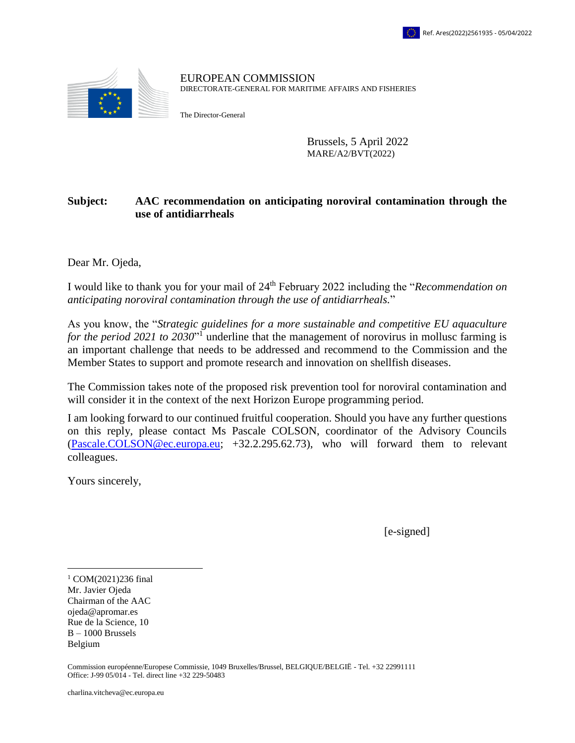

EUROPEAN COMMISSION DIRECTORATE-GENERAL FOR MARITIME AFFAIRS AND FISHERIES

The Director-General

Brussels, 5 April 2022 MARE/A2/BVT(2022)

## **Subject: AAC recommendation on anticipating noroviral contamination through the use of antidiarrheals**

Dear Mr. Ojeda,

I would like to thank you for your mail of 24th February 2022 including the "*Recommendation on anticipating noroviral contamination through the use of antidiarrheals.*"

As you know, the "*Strategic guidelines for a more sustainable and competitive EU aquaculture*  for the period 2021 to 2030<sup>"1</sup> underline that the management of norovirus in mollusc farming is an important challenge that needs to be addressed and recommend to the Commission and the Member States to support and promote research and innovation on shellfish diseases.

The Commission takes note of the proposed risk prevention tool for noroviral contamination and will consider it in the context of the next Horizon Europe programming period.

I am looking forward to our continued fruitful cooperation. Should you have any further questions on this reply, please contact Ms Pascale COLSON, coordinator of the Advisory Councils [\(Pascale.COLSON@ec.europa.eu;](mailto:Pascale.COLSON@ec.europa.eu) +32.2.295.62.73), who will forward them to relevant colleagues.

Yours sincerely,

[e-signed]

Mr. Javier Ojeda Chairman of the AAC ojeda@apromar.es Rue de la Science, 10 B – 1000 Brussels Belgium  $\overline{a}$  $^{1}$  COM(2021)236 final

Commission européenne/Europese Commissie, 1049 Bruxelles/Brussel, BELGIQUE/BELGIË - Tel. +32 22991111 Office: J-99 05/014 ‐ Tel. direct line +32 229-50483